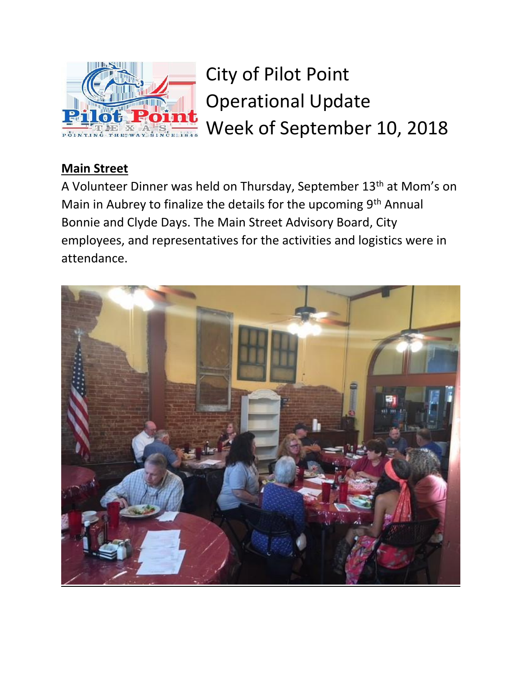

City of Pilot Point Operational Update Week of September 10, 2018

## **Main Street**

A Volunteer Dinner was held on Thursday, September 13<sup>th</sup> at Mom's on Main in Aubrey to finalize the details for the upcoming 9<sup>th</sup> Annual Bonnie and Clyde Days. The Main Street Advisory Board, City employees, and representatives for the activities and logistics were in attendance.

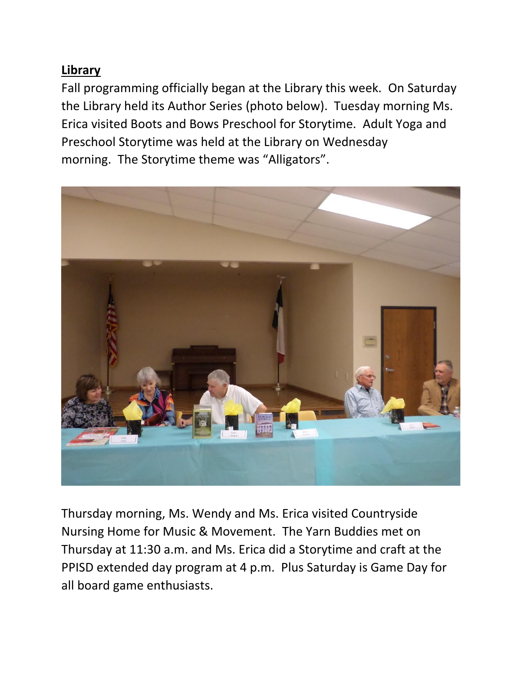## **Library**

Fall programming officially began at the Library this week. On Saturday the Library held its Author Series (photo below). Tuesday morning Ms. Erica visited Boots and Bows Preschool for Storytime. Adult Yoga and Preschool Storytime was held at the Library on Wednesday morning. The Storytime theme was "Alligators".



Thursday morning, Ms. Wendy and Ms. Erica visited Countryside Nursing Home for Music & Movement. The Yarn Buddies met on Thursday at 11:30 a.m. and Ms. Erica did a Storytime and craft at the PPISD extended day program at 4 p.m. Plus Saturday is Game Day for all board game enthusiasts.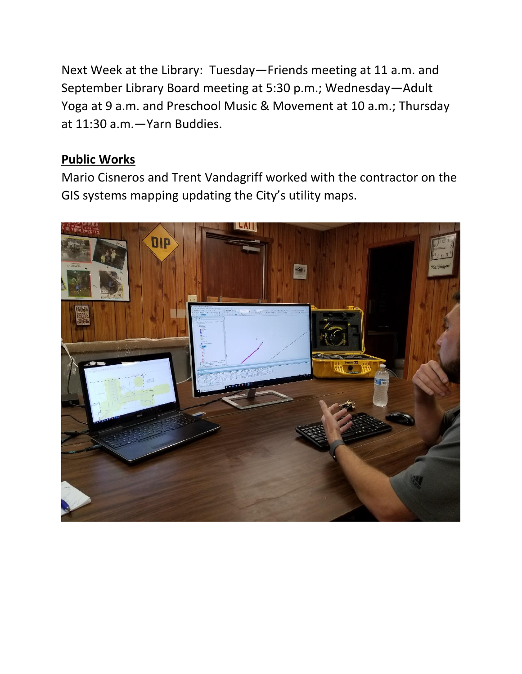Next Week at the Library: Tuesday—Friends meeting at 11 a.m. and September Library Board meeting at 5:30 p.m.; Wednesday—Adult Yoga at 9 a.m. and Preschool Music & Movement at 10 a.m.; Thursday at 11:30 a.m.—Yarn Buddies.

## **Public Works**

Mario Cisneros and Trent Vandagriff worked with the contractor on the GIS systems mapping updating the City's utility maps.

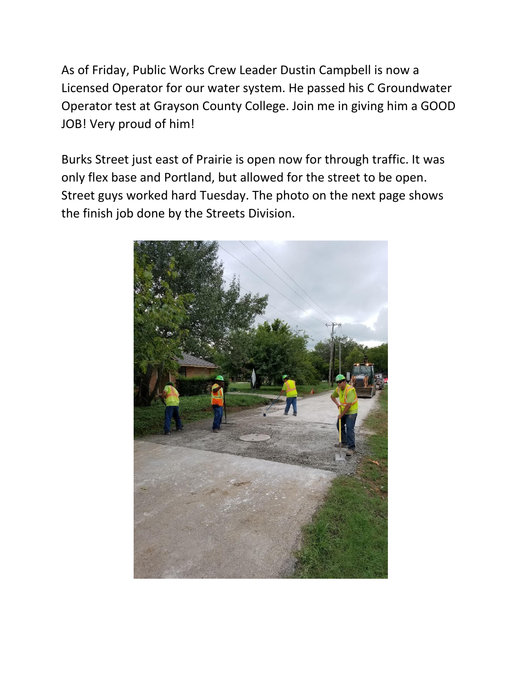As of Friday, Public Works Crew Leader Dustin Campbell is now a Licensed Operator for our water system. He passed his C Groundwater Operator test at Grayson County College. Join me in giving him a GOOD JOB! Very proud of him!

Burks Street just east of Prairie is open now for through traffic. It was only flex base and Portland, but allowed for the street to be open. Street guys worked hard Tuesday. The photo on the next page shows the finish job done by the Streets Division.

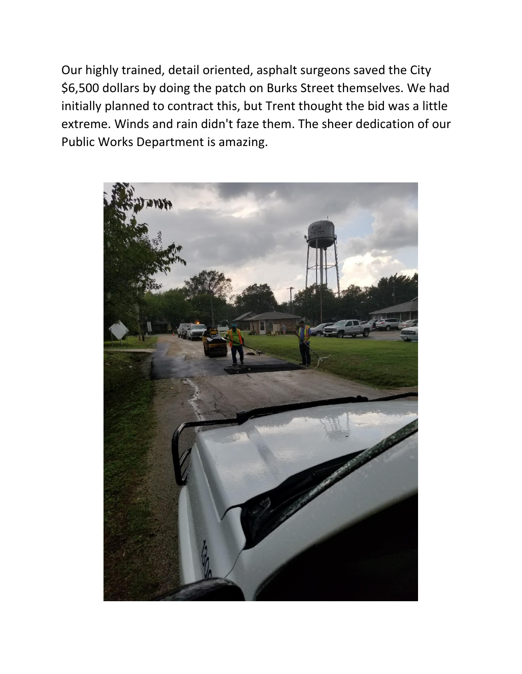Our highly trained, detail oriented, asphalt surgeons saved the City \$6,500 dollars by doing the patch on Burks Street themselves. We had initially planned to contract this, but Trent thought the bid was a little extreme. Winds and rain didn't faze them. The sheer dedication of our Public Works Department is amazing.

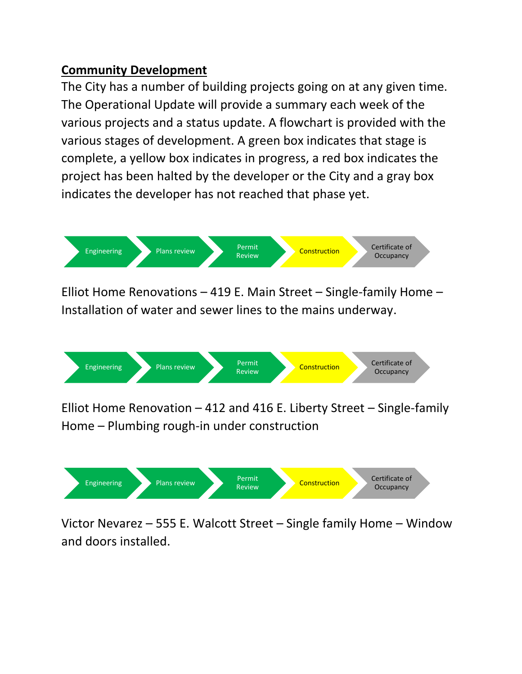## **Community Development**

The City has a number of building projects going on at any given time. The Operational Update will provide a summary each week of the various projects and a status update. A flowchart is provided with the various stages of development. A green box indicates that stage is complete, a yellow box indicates in progress, a red box indicates the project has been halted by the developer or the City and a gray box indicates the developer has not reached that phase yet.



Elliot Home Renovations – 419 E. Main Street – Single-family Home – Installation of water and sewer lines to the mains underway.



Elliot Home Renovation – 412 and 416 E. Liberty Street – Single-family Home – Plumbing rough-in under construction



Victor Nevarez – 555 E. Walcott Street – Single family Home – Window and doors installed.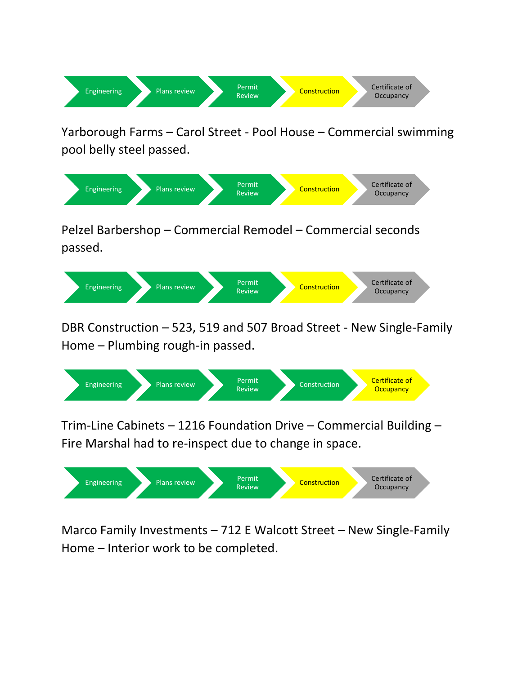

Yarborough Farms – Carol Street - Pool House – Commercial swimming pool belly steel passed.



Pelzel Barbershop – Commercial Remodel – Commercial seconds passed.



DBR Construction – 523, 519 and 507 Broad Street - New Single-Family Home – Plumbing rough-in passed.



Trim-Line Cabinets – 1216 Foundation Drive – Commercial Building – Fire Marshal had to re-inspect due to change in space.



Marco Family Investments – 712 E Walcott Street – New Single-Family Home – Interior work to be completed.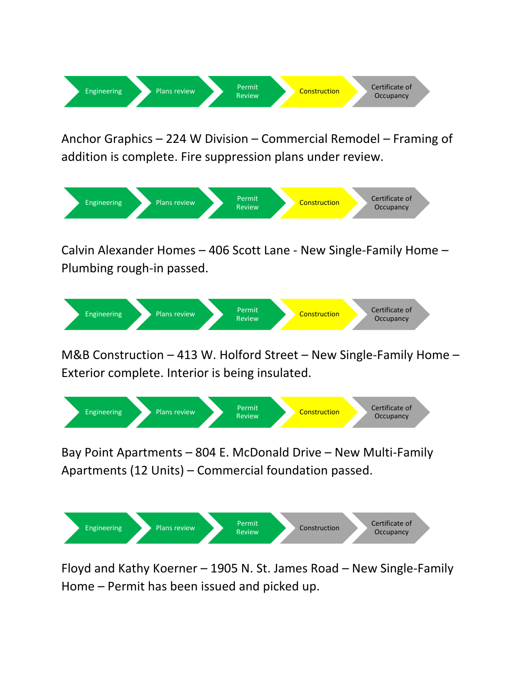

Anchor Graphics – 224 W Division – Commercial Remodel – Framing of addition is complete. Fire suppression plans under review.



Calvin Alexander Homes – 406 Scott Lane - New Single-Family Home – Plumbing rough-in passed.



M&B Construction – 413 W. Holford Street – New Single-Family Home – Exterior complete. Interior is being insulated.



Bay Point Apartments – 804 E. McDonald Drive – New Multi-Family Apartments (12 Units) – Commercial foundation passed.



Floyd and Kathy Koerner – 1905 N. St. James Road – New Single-Family Home – Permit has been issued and picked up.